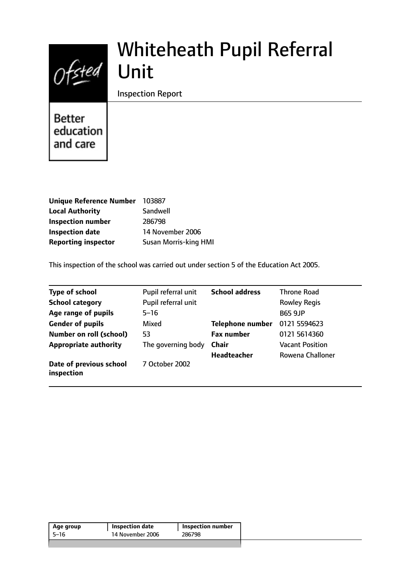# $Of$ sted

# Whiteheath Pupil Referral Unit

Inspection Report

**Better** education and care

| <b>Unique Reference Number</b> | 103887                       |
|--------------------------------|------------------------------|
| <b>Local Authority</b>         | Sandwell                     |
| <b>Inspection number</b>       | 286798                       |
| <b>Inspection date</b>         | 14 November 2006             |
| <b>Reporting inspector</b>     | <b>Susan Morris-king HMI</b> |

This inspection of the school was carried out under section 5 of the Education Act 2005.

| <b>Type of school</b>                 | Pupil referral unit | <b>School address</b>   | <b>Throne Road</b>     |
|---------------------------------------|---------------------|-------------------------|------------------------|
| <b>School category</b>                | Pupil referral unit |                         | <b>Rowley Regis</b>    |
| Age range of pupils                   | $5 - 16$            |                         | <b>B65 9JP</b>         |
| <b>Gender of pupils</b>               | Mixed               | <b>Telephone number</b> | 0121 5594623           |
| <b>Number on roll (school)</b>        | 53                  | <b>Fax number</b>       | 0121 5614360           |
| <b>Appropriate authority</b>          | The governing body  | <b>Chair</b>            | <b>Vacant Position</b> |
|                                       |                     | <b>Headteacher</b>      | Rowena Challoner       |
| Date of previous school<br>inspection | 7 October 2002      |                         |                        |

| 14 November 2006<br>286798<br>5–16 | Age group | Inspection date | <b>Inspection number</b> |
|------------------------------------|-----------|-----------------|--------------------------|
|                                    |           |                 |                          |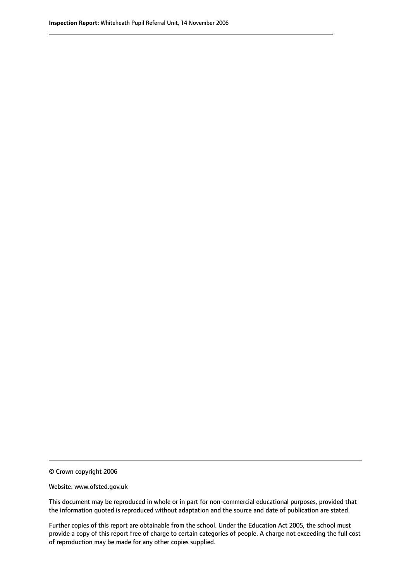© Crown copyright 2006

Website: www.ofsted.gov.uk

This document may be reproduced in whole or in part for non-commercial educational purposes, provided that the information quoted is reproduced without adaptation and the source and date of publication are stated.

Further copies of this report are obtainable from the school. Under the Education Act 2005, the school must provide a copy of this report free of charge to certain categories of people. A charge not exceeding the full cost of reproduction may be made for any other copies supplied.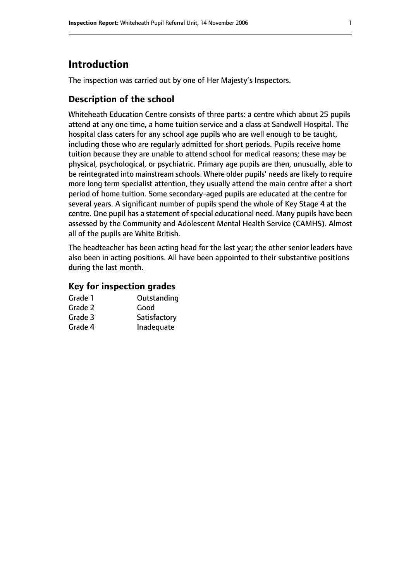# **Introduction**

The inspection was carried out by one of Her Majesty's Inspectors.

#### **Description of the school**

Whiteheath Education Centre consists of three parts: a centre which about 25 pupils attend at any one time, a home tuition service and a class at Sandwell Hospital. The hospital class caters for any school age pupils who are well enough to be taught, including those who are regularly admitted for short periods. Pupils receive home tuition because they are unable to attend school for medical reasons; these may be physical, psychological, or psychiatric. Primary age pupils are then, unusually, able to be reintegrated into mainstream schools. Where older pupils' needs are likely to require more long term specialist attention, they usually attend the main centre after a short period of home tuition. Some secondary-aged pupils are educated at the centre for several years. A significant number of pupils spend the whole of Key Stage 4 at the centre. One pupil has a statement of special educational need. Many pupils have been assessed by the Community and Adolescent Mental Health Service (CAMHS). Almost all of the pupils are White British.

The headteacher has been acting head for the last year; the other senior leaders have also been in acting positions. All have been appointed to their substantive positions during the last month.

#### **Key for inspection grades**

| Grade 1 | Outstanding  |
|---------|--------------|
| Grade 2 | Good         |
| Grade 3 | Satisfactory |
| Grade 4 | Inadequate   |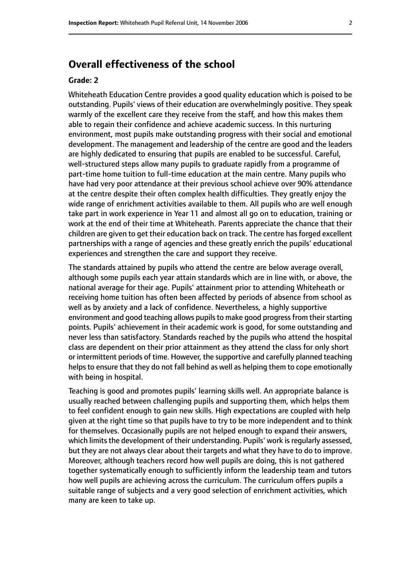# **Overall effectiveness of the school**

#### **Grade: 2**

Whiteheath Education Centre provides a good quality education which is poised to be outstanding. Pupils' views of their education are overwhelmingly positive. They speak warmly of the excellent care they receive from the staff, and how this makes them able to regain their confidence and achieve academic success. In this nurturing environment, most pupils make outstanding progress with their social and emotional development. The management and leadership of the centre are good and the leaders are highly dedicated to ensuring that pupils are enabled to be successful. Careful, well-structured steps allow many pupils to graduate rapidly from a programme of part-time home tuition to full-time education at the main centre. Many pupils who have had very poor attendance at their previous school achieve over 90% attendance at the centre despite their often complex health difficulties. They greatly enjoy the wide range of enrichment activities available to them. All pupils who are well enough take part in work experience in Year 11 and almost all go on to education, training or work at the end of their time at Whiteheath. Parents appreciate the chance that their children are given to get their education back on track. The centre has forged excellent partnerships with a range of agencies and these greatly enrich the pupils' educational experiences and strengthen the care and support they receive.

The standards attained by pupils who attend the centre are below average overall, although some pupils each year attain standards which are in line with, or above, the national average for their age. Pupils' attainment prior to attending Whiteheath or receiving home tuition has often been affected by periods of absence from school as well as by anxiety and a lack of confidence. Nevertheless, a highly supportive environment and good teaching allows pupils to make good progress from their starting points. Pupils' achievement in their academic work is good, for some outstanding and never less than satisfactory. Standards reached by the pupils who attend the hospital class are dependent on their prior attainment as they attend the class for only short or intermittent periods of time. However, the supportive and carefully planned teaching helps to ensure that they do not fall behind as well as helping them to cope emotionally with being in hospital.

Teaching is good and promotes pupils' learning skills well. An appropriate balance is usually reached between challenging pupils and supporting them, which helps them to feel confident enough to gain new skills. High expectations are coupled with help given at the right time so that pupils have to try to be more independent and to think for themselves. Occasionally pupils are not helped enough to expand their answers, which limits the development of their understanding. Pupils' work is regularly assessed, but they are not always clear about their targets and what they have to do to improve. Moreover, although teachers record how well pupils are doing, this is not gathered together systematically enough to sufficiently inform the leadership team and tutors how well pupils are achieving across the curriculum. The curriculum offers pupils a suitable range of subjects and a very good selection of enrichment activities, which many are keen to take up.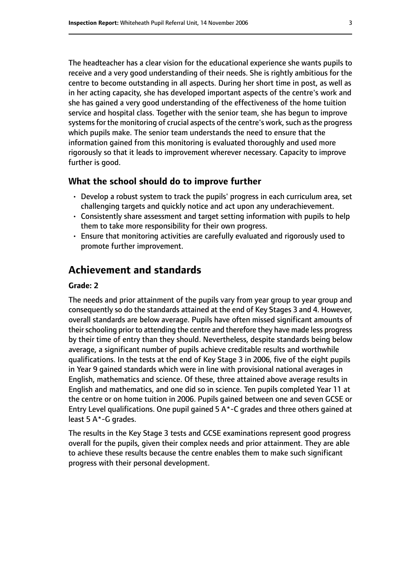The headteacher has a clear vision for the educational experience she wants pupils to receive and a very good understanding of their needs. She is rightly ambitious for the centre to become outstanding in all aspects. During her short time in post, as well as in her acting capacity, she has developed important aspects of the centre's work and she has gained a very good understanding of the effectiveness of the home tuition service and hospital class. Together with the senior team, she has begun to improve systems for the monitoring of crucial aspects of the centre's work, such as the progress which pupils make. The senior team understands the need to ensure that the information gained from this monitoring is evaluated thoroughly and used more rigorously so that it leads to improvement wherever necessary. Capacity to improve further is good.

#### **What the school should do to improve further**

- Develop a robust system to track the pupils' progress in each curriculum area, set challenging targets and quickly notice and act upon any underachievement.
- Consistently share assessment and target setting information with pupils to help them to take more responsibility for their own progress.
- Ensure that monitoring activities are carefully evaluated and rigorously used to promote further improvement.

# **Achievement and standards**

#### **Grade: 2**

The needs and prior attainment of the pupils vary from year group to year group and consequently so do the standards attained at the end of Key Stages 3 and 4. However, overall standards are below average. Pupils have often missed significant amounts of their schooling prior to attending the centre and therefore they have made less progress by their time of entry than they should. Nevertheless, despite standards being below average, a significant number of pupils achieve creditable results and worthwhile qualifications. In the tests at the end of Key Stage 3 in 2006, five of the eight pupils in Year 9 gained standards which were in line with provisional national averages in English, mathematics and science. Of these, three attained above average results in English and mathematics, and one did so in science. Ten pupils completed Year 11 at the centre or on home tuition in 2006. Pupils gained between one and seven GCSE or Entry Level qualifications. One pupil gained 5 A\*-C grades and three others gained at least 5 A\*-G grades.

The results in the Key Stage 3 tests and GCSE examinations represent good progress overall for the pupils, given their complex needs and prior attainment. They are able to achieve these results because the centre enables them to make such significant progress with their personal development.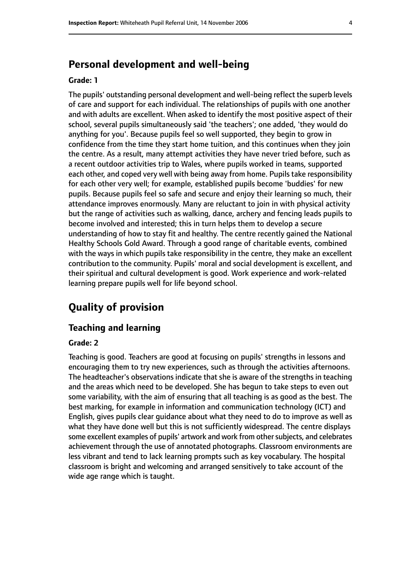# **Personal development and well-being**

#### **Grade: 1**

The pupils' outstanding personal development and well-being reflect the superb levels of care and support for each individual. The relationships of pupils with one another and with adults are excellent. When asked to identify the most positive aspect of their school, several pupils simultaneously said 'the teachers'; one added, 'they would do anything for you'. Because pupils feel so well supported, they begin to grow in confidence from the time they start home tuition, and this continues when they join the centre. As a result, many attempt activities they have never tried before, such as a recent outdoor activities trip to Wales, where pupils worked in teams, supported each other, and coped very well with being away from home. Pupils take responsibility for each other very well; for example, established pupils become 'buddies' for new pupils. Because pupils feel so safe and secure and enjoy their learning so much, their attendance improves enormously. Many are reluctant to join in with physical activity but the range of activities such as walking, dance, archery and fencing leads pupils to become involved and interested; this in turn helps them to develop a secure understanding of how to stay fit and healthy. The centre recently gained the National Healthy Schools Gold Award. Through a good range of charitable events, combined with the ways in which pupils take responsibility in the centre, they make an excellent contribution to the community. Pupils' moral and social development is excellent, and their spiritual and cultural development is good. Work experience and work-related learning prepare pupils well for life beyond school.

# **Quality of provision**

#### **Teaching and learning**

#### **Grade: 2**

Teaching is good. Teachers are good at focusing on pupils' strengths in lessons and encouraging them to try new experiences, such as through the activities afternoons. The headteacher's observations indicate that she is aware of the strengths in teaching and the areas which need to be developed. She has begun to take steps to even out some variability, with the aim of ensuring that all teaching is as good as the best. The best marking, for example in information and communication technology (ICT) and English, gives pupils clear guidance about what they need to do to improve as well as what they have done well but this is not sufficiently widespread. The centre displays some excellent examples of pupils' artwork and work from other subjects, and celebrates achievement through the use of annotated photographs. Classroom environments are less vibrant and tend to lack learning prompts such as key vocabulary. The hospital classroom is bright and welcoming and arranged sensitively to take account of the wide age range which is taught.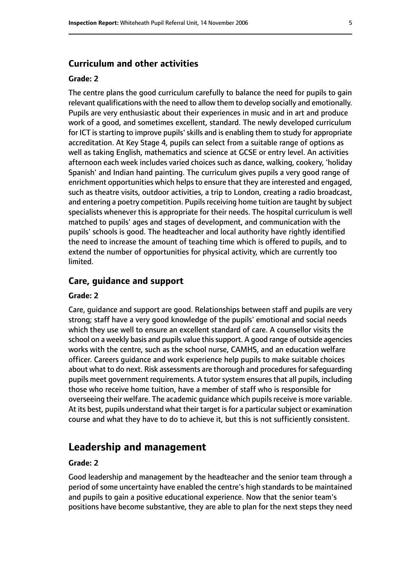#### **Curriculum and other activities**

#### **Grade: 2**

The centre plans the good curriculum carefully to balance the need for pupils to gain relevant qualifications with the need to allow them to develop socially and emotionally. Pupils are very enthusiastic about their experiences in music and in art and produce work of a good, and sometimes excellent, standard. The newly developed curriculum for ICT is starting to improve pupils' skills and is enabling them to study for appropriate accreditation. At Key Stage 4, pupils can select from a suitable range of options as well as taking English, mathematics and science at GCSE or entry level. An activities afternoon each week includes varied choices such as dance, walking, cookery, 'holiday Spanish' and Indian hand painting. The curriculum gives pupils a very good range of enrichment opportunities which helps to ensure that they are interested and engaged, such as theatre visits, outdoor activities, a trip to London, creating a radio broadcast, and entering a poetry competition. Pupils receiving home tuition are taught by subject specialists whenever this is appropriate for their needs. The hospital curriculum is well matched to pupils' ages and stages of development, and communication with the pupils' schools is good. The headteacher and local authority have rightly identified the need to increase the amount of teaching time which is offered to pupils, and to extend the number of opportunities for physical activity, which are currently too limited.

#### **Care, guidance and support**

#### **Grade: 2**

Care, guidance and support are good. Relationships between staff and pupils are very strong; staff have a very good knowledge of the pupils' emotional and social needs which they use well to ensure an excellent standard of care. A counsellor visits the school on a weekly basis and pupils value this support. A good range of outside agencies works with the centre, such as the school nurse, CAMHS, and an education welfare officer. Careers guidance and work experience help pupils to make suitable choices about what to do next. Risk assessments are thorough and procedures for safeguarding pupils meet government requirements. A tutor system ensures that all pupils, including those who receive home tuition, have a member of staff who is responsible for overseeing their welfare. The academic guidance which pupils receive is more variable. At its best, pupils understand what their target is for a particular subject or examination course and what they have to do to achieve it, but this is not sufficiently consistent.

## **Leadership and management**

#### **Grade: 2**

Good leadership and management by the headteacher and the senior team through a period of some uncertainty have enabled the centre's high standards to be maintained and pupils to gain a positive educational experience. Now that the senior team's positions have become substantive, they are able to plan for the next steps they need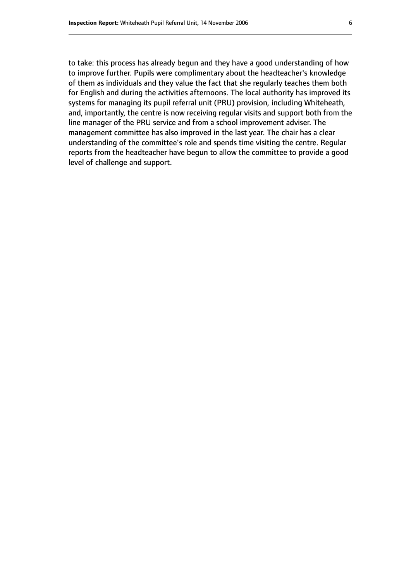to take: this process has already begun and they have a good understanding of how to improve further. Pupils were complimentary about the headteacher's knowledge of them as individuals and they value the fact that she regularly teaches them both for English and during the activities afternoons. The local authority has improved its systems for managing its pupil referral unit (PRU) provision, including Whiteheath, and, importantly, the centre is now receiving regular visits and support both from the line manager of the PRU service and from a school improvement adviser. The management committee has also improved in the last year. The chair has a clear understanding of the committee's role and spends time visiting the centre. Regular reports from the headteacher have begun to allow the committee to provide a good level of challenge and support.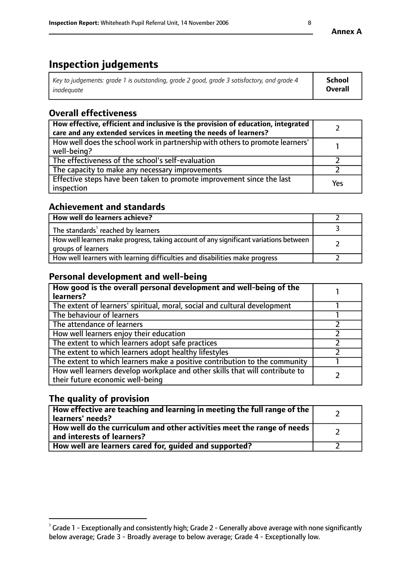# **Inspection judgements**

| Key to judgements: grade 1 is outstanding, grade 2 good, grade 3 satisfactory, and grade 4 | School  |
|--------------------------------------------------------------------------------------------|---------|
| inadeauate                                                                                 | Overall |

# **Overall effectiveness**

| How effective, efficient and inclusive is the provision of education, integrated<br>care and any extended services in meeting the needs of learners? |     |
|------------------------------------------------------------------------------------------------------------------------------------------------------|-----|
| How well does the school work in partnership with others to promote learners'<br>well-being?                                                         |     |
| The effectiveness of the school's self-evaluation                                                                                                    |     |
| The capacity to make any necessary improvements                                                                                                      |     |
| Effective steps have been taken to promote improvement since the last<br>inspection                                                                  | Yes |

## **Achievement and standards**

| How well do learners achieve?                                                                               |  |
|-------------------------------------------------------------------------------------------------------------|--|
| The standards <sup>1</sup> reached by learners                                                              |  |
| How well learners make progress, taking account of any significant variations between<br>groups of learners |  |
| How well learners with learning difficulties and disabilities make progress                                 |  |

# **Personal development and well-being**

| How good is the overall personal development and well-being of the<br>learners?                                  |  |
|------------------------------------------------------------------------------------------------------------------|--|
| The extent of learners' spiritual, moral, social and cultural development                                        |  |
| The behaviour of learners                                                                                        |  |
| The attendance of learners                                                                                       |  |
| How well learners enjoy their education                                                                          |  |
| The extent to which learners adopt safe practices                                                                |  |
| The extent to which learners adopt healthy lifestyles                                                            |  |
| The extent to which learners make a positive contribution to the community                                       |  |
| How well learners develop workplace and other skills that will contribute to<br>their future economic well-being |  |

# **The quality of provision**

| How effective are teaching and learning in meeting the full range of the<br>learners' needs?          |  |
|-------------------------------------------------------------------------------------------------------|--|
| How well do the curriculum and other activities meet the range of needs<br>and interests of learners? |  |
| How well are learners cared for, guided and supported?                                                |  |

 $^1$  Grade 1 - Exceptionally and consistently high; Grade 2 - Generally above average with none significantly below average; Grade 3 - Broadly average to below average; Grade 4 - Exceptionally low.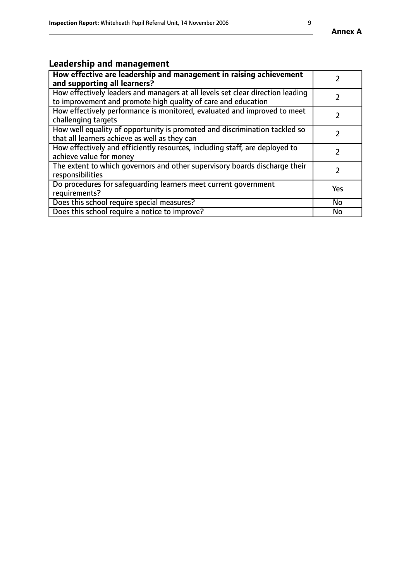# **Leadership and management**

| How effective are leadership and management in raising achievement<br>and supporting all learners?                                              |               |
|-------------------------------------------------------------------------------------------------------------------------------------------------|---------------|
| How effectively leaders and managers at all levels set clear direction leading<br>to improvement and promote high quality of care and education |               |
| How effectively performance is monitored, evaluated and improved to meet<br>challenging targets                                                 | $\mathcal{L}$ |
| How well equality of opportunity is promoted and discrimination tackled so<br>that all learners achieve as well as they can                     |               |
| How effectively and efficiently resources, including staff, are deployed to<br>achieve value for money                                          | $\mathcal{P}$ |
| The extent to which governors and other supervisory boards discharge their<br>responsibilities                                                  |               |
| Do procedures for safequarding learners meet current government<br>requirements?                                                                | Yes           |
| Does this school require special measures?                                                                                                      | No            |
| Does this school require a notice to improve?                                                                                                   | <b>No</b>     |